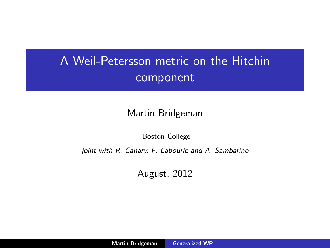# A Weil-Petersson metric on the Hitchin component

#### Martin Bridgeman

Boston College

joint with R. Canary, F. Labourie and A. Sambarino

<span id="page-0-0"></span>August, 2012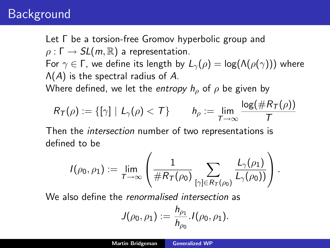# **Background**

Let Γ be a torsion-free Gromov hyperbolic group and  $\rho : \Gamma \to SL(m, \mathbb{R})$  a representation. For  $\gamma \in \Gamma$ , we define its length by  $L_{\gamma}(\rho) = \log(\Lambda(\rho(\gamma)))$  where  $\Lambda(A)$  is the spectral radius of A. Where defined, we let the entropy  $h<sub>o</sub>$  of  $\rho$  be given by

$$
R_T(\rho) := \{ [\gamma] \mid L_{\gamma}(\rho) < T \} \qquad h_{\rho} := \lim_{T \to \infty} \frac{\log(\#R_T(\rho))}{T}
$$

Then the intersection number of two representations is defined to be

$$
I(\rho_0,\rho_1):=\lim_{T\to\infty}\left(\frac{1}{\#R_T(\rho_0)}\sum_{[\gamma]\in R_T(\rho_0)}\frac{L_\gamma(\rho_1)}{L_\gamma(\rho_0))}\right).
$$

We also define the *renormalised intersection* as

$$
J(\rho_0, \rho_1) := \frac{h_{\rho_1}}{h_{\rho_0}} J(\rho_0, \rho_1).
$$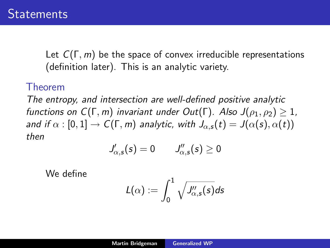Let  $C(\Gamma, m)$  be the space of convex irreducible representations (definition later). This is an analytic variety.

#### Theorem

The entropy, and intersection are well-defined positive analytic functions on  $C(\Gamma, m)$  invariant under Out( $\Gamma$ ). Also  $J(\rho_1, \rho_2) > 1$ , and if  $\alpha : [0, 1] \to C(\Gamma, m)$  analytic, with  $J_{\alpha, s}(t) = J(\alpha(s), \alpha(t))$ then

$$
J'_{\alpha,\mathsf{s}}(\mathsf{s})=0 \qquad J''_{\alpha,\mathsf{s}}(\mathsf{s})\geq 0
$$

We define

$$
L(\alpha):=\int_0^1\sqrt{J_{\alpha,s}''(s)}ds
$$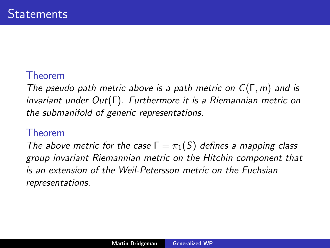### Theorem

The pseudo path metric above is a path metric on  $C(\Gamma, m)$  and is invariant under Out(Γ). Furthermore it is a Riemannian metric on the submanifold of generic representations.

### Theorem

The above metric for the case  $\Gamma = \pi_1(S)$  defines a mapping class group invariant Riemannian metric on the Hitchin component that is an extension of the Weil-Petersson metric on the Fuchsian representations.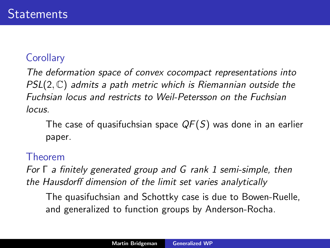### **Corollary**

The deformation space of convex cocompact representations into  $PSL(2, \mathbb{C})$  admits a path metric which is Riemannian outside the Fuchsian locus and restricts to Weil-Petersson on the Fuchsian locus.

The case of quasifuchsian space  $QF(S)$  was done in an earlier paper.

### Theorem

For Γ a finitely generated group and G rank 1 semi-simple, then the Hausdorff dimension of the limit set varies analytically

The quasifuchsian and Schottky case is due to Bowen-Ruelle, and generalized to function groups by Anderson-Rocha.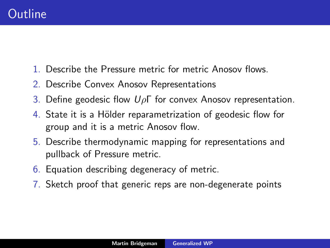- 1. Describe the Pressure metric for metric Anosov flows.
- 2. Describe Convex Anosov Representations
- 3. Define geodesic flow  $U\rho\Gamma$  for convex Anosov representation.
- 4. State it is a Hölder reparametrization of geodesic flow for group and it is a metric Anosov flow.
- 5. Describe thermodynamic mapping for representations and pullback of Pressure metric.
- 6. Equation describing degeneracy of metric.
- 7. Sketch proof that generic reps are non-degenerate points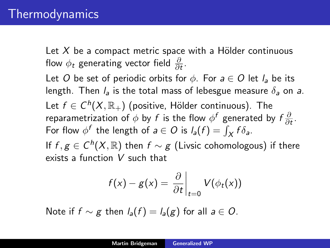Let  $X$  be a compact metric space with a Hölder continuous flow  $\phi_t$  generating vector field  $\frac{\partial}{\partial t}$ . Let O be set of periodic orbits for  $\phi$ . For  $a \in O$  let  $l_a$  be its length. Then  $l_a$  is the total mass of lebesgue measure  $\delta_a$  on a. Let  $f \in C^h(X,\mathbb{R}_+)$  (positive, Hölder continuous). The reparametrization of  $\phi$  by  $f$  is the flow  $\phi^f$  generated by  $f\frac{\partial}{\partial r}$  $\frac{\partial}{\partial t}$ . For flow  $\phi^f$  the length of  $a \in O$  is  $l_a(f) = \int_X f \delta_a$ . If  $f, g \in C^h(X, \mathbb{R})$  then  $f \sim g$  (Livsic cohomologous) if there

exists a function V such that

$$
f(x) - g(x) = \frac{\partial}{\partial t}\bigg|_{t=0} V(\phi_t(x))
$$

Note if  $f \sim g$  then  $l_a(f) = l_a(g)$  for all  $a \in O$ .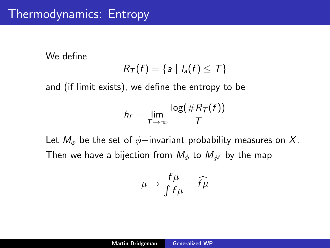## Thermodynamics: Entropy

We define

$$
R_T(f) = \{a \mid I_a(f) \leq T\}
$$

and (if limit exists), we define the entropy to be

$$
h_f = \lim_{T \to \infty} \frac{\log(\#R_T(f))}{T}
$$

Let  $M_{\phi}$  be the set of  $\phi$ -invariant probability measures on X. Then we have a bijection from  $M_{\phi}$  to  $M_{\phi}$  by the map

$$
\mu \to \frac{f\mu}{\int f\mu} = \widehat{f\mu}
$$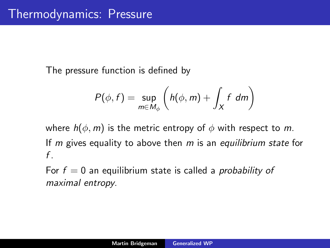The pressure function is defined by

$$
P(\phi, f) = \sup_{m \in M_{\phi}} \left( h(\phi, m) + \int_{X} f \ dm \right)
$$

where  $h(\phi, m)$  is the metric entropy of  $\phi$  with respect to m. If  $m$  gives equality to above then  $m$  is an equilibrium state for  $f_{.}$ 

For  $f = 0$  an equilibrium state is called a *probability of* maximal entropy.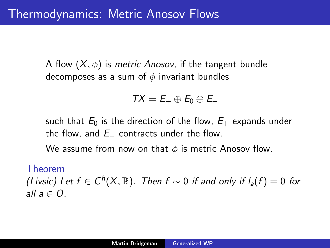A flow  $(X, \phi)$  is *metric Anosov*, if the tangent bundle decomposes as a sum of  $\phi$  invariant bundles

$$
TX = E_+ \oplus E_0 \oplus E_-
$$

such that  $E_0$  is the direction of the flow,  $E_+$  expands under the flow, and  $E_$  contracts under the flow.

We assume from now on that  $\phi$  is metric Anosov flow.

#### Theorem

(Livsic) Let  $f \in C^h(X, \mathbb{R})$ . Then  $f \sim 0$  if and only if  $I_a(f) = 0$  for all  $a \in Q$ .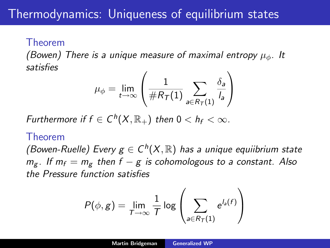#### Theorem

(Bowen) There is a unique measure of maximal entropy  $\mu_{\phi}$ . It satisfies

$$
\mu_{\phi} = \lim_{t \to \infty} \left( \frac{1}{\#R_{\mathcal{T}}(1)} \sum_{a \in R_{\mathcal{T}}(1)} \frac{\delta_a}{l_a} \right)
$$

Furthermore if  $f \in C^h(X,\mathbb{R}_+)$  then  $0 < h_f < \infty$ .

#### Theorem

(Bowen-Ruelle) Every  $g \in C^h(X, \mathbb{R})$  has a unique equiibrium state  $m_g$ . If  $m_f = m_g$  then  $f - g$  is cohomologous to a constant. Also the Pressure function satisfies

$$
P(\phi, g) = \lim_{T \to \infty} \frac{1}{T} \log \left( \sum_{a \in R_T(1)} e^{l_a(f)} \right)
$$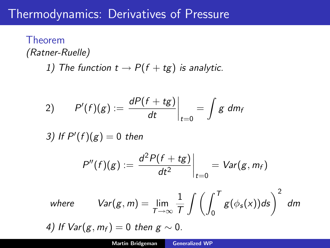## Thermodynamics: Derivatives of Pressure

### Theorem (Ratner-Ruelle) 1) The function  $t \rightarrow P(f + tg)$  is analytic.

$$
P'(f)(g) := \left. \frac{dP(f+tg)}{dt} \right|_{t=0} = \int g \ dm_f
$$

3) If  $P'(f)(g) = 0$  then

$$
P''(f)(g):=\left.\frac{d^2P(f+tg)}{dt^2}\right|_{t=0}=Var(g,m_f)
$$

where 
$$
Var(g, m) = \lim_{T \to \infty} \frac{1}{T} \int \left( \int_0^T g(\phi_s(x)) ds \right)^2 dm
$$

4) If  $Var(g, m_f) = 0$  then  $g \sim 0$ .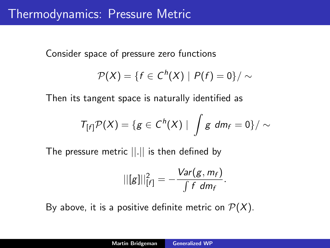Consider space of pressure zero functions

$$
\mathcal{P}(X)=\{f\in C^h(X)\mid P(f)=0\}/\sim
$$

Then its tangent space is naturally identified as

$$
T_{[f]} \mathcal{P}(X) = \{ g \in C^h(X) \mid \int g dm_f = 0 \} / \sim
$$

The pressure metric ||.|| is then defined by

$$
||[g]||^2_{[f]} = -\frac{\text{Var}(g, m_f)}{\int f dm_f}.
$$

By above, it is a positive definite metric on  $\mathcal{P}(X)$ .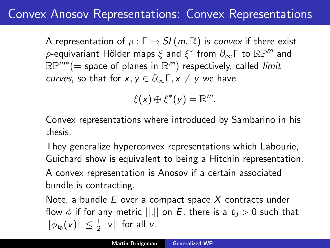# Convex Anosov Representations: Convex Representations

A representation of  $\rho : \Gamma \to SL(m, \mathbb{R})$  is convex if there exist  $\rho$ -equivariant Hölder maps  $\xi$  and  $\xi^*$  from  $\partial_\infty \mathsf{\Gamma}$  to  $\mathbb{R}\mathbb{P}^m$  and  $\mathbb{RP}^{m*}(=$  space of planes in  $\mathbb{R}^m)$  respectively, called *limit* curves, so that for  $x, y \in \partial_{\infty} \Gamma, x \neq y$  we have

$$
\xi(x)\oplus\xi^*(y)=\mathbb{R}^m.
$$

Convex representations where introduced by Sambarino in his thesis.

They generalize hyperconvex representations which Labourie, Guichard show is equivalent to being a Hitchin representation.

A convex representation is Anosov if a certain associated bundle is contracting.

Note, a bundle  $E$  over a compact space  $X$  contracts under flow  $\phi$  if for any metric  $||.||$  on E, there is a  $t_0 > 0$  such that  $||\phi_{t_0}(v)|| \leq \frac{1}{2} ||v||$  for all v.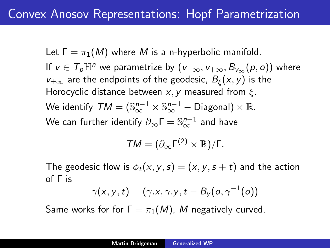Let  $\Gamma = \pi_1(M)$  where M is a n-hyperbolic manifold. If  $v \in \mathcal{T}_{p}\mathbb{H}^{n}$  we parametrize by  $(v_{-\infty}, v_{+\infty}, B_{v_{\infty}}(p, o))$  where  $v_{\pm\infty}$  are the endpoints of the geodesic,  $B_{\epsilon}(x, y)$  is the Horocyclic distance between  $x, y$  measured from  $\xi$ . We identify  $\mathcal{TM} = (\mathbb{S}^{n-1}_{\infty}\times\mathbb{S}^{n-1}_{\infty}-\mathsf{Diagonal})\times\mathbb{R}.$ We can further identify  $\partial_\infty \mathsf{\Gamma} = \mathbb{S}^{n-1}_\infty$  and have

$$
TM=(\partial_{\infty}\Gamma^{(2)}\times\mathbb{R})/\Gamma.
$$

The geodesic flow is  $\phi_t(x, y, s) = (x, y, s + t)$  and the action of Γ is

$$
\gamma(x,y,t)=(\gamma.x,\gamma.y,t-B_y(o,\gamma^{-1}(o))
$$

Same works for for  $\Gamma = \pi_1(M)$ , M negatively curved.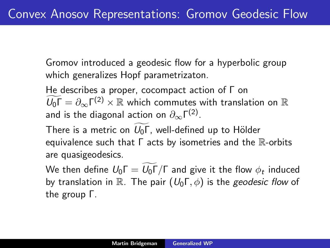Gromov introduced a geodesic flow for a hyperbolic group which generalizes Hopf parametrizaton.

He describes a proper, cocompact action of Γ on  $\widetilde{U_0\Gamma} = \partial_\infty \Gamma^{(2)} \times \mathbb{R}$  which commutes with translation on  $\mathbb{R}$ and is the diagonal action on  $\partial_\infty \mathsf{\Gamma}^{(2)}.$ 

There is a metric on  $U_0\Gamma$ , well-defined up to Hölder equivalence such that  $\Gamma$  acts by isometries and the  $\mathbb R$ -orbits are quasigeodesics.

We then define  $U_0 \Gamma = U_0 \Gamma / \Gamma$  and give it the flow  $\phi_t$  induced by translation in R. The pair  $(U_0\Gamma,\phi)$  is the geodesic flow of the group Γ.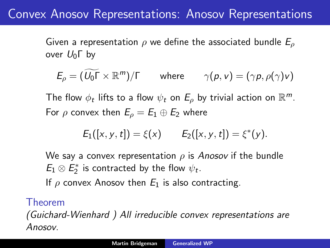## Convex Anosov Representations: Anosov Representations

Given a representation  $\rho$  we define the associated bundle  $E_{\rho}$ over  $U_0$ Γ by

$$
E_{\rho} = (\widetilde{U_0 \Gamma} \times \mathbb{R}^m) / \Gamma \quad \text{where} \quad \gamma(p, v) = (\gamma p, \rho(\gamma) v)
$$

The flow  $\phi_t$  lifts to a flow  $\psi_t$  on  $E_\rho$  by trivial action on  $\mathbb{R}^m$ . For  $\rho$  convex then  $E_{\rho} = E_1 \oplus E_2$  where

$$
E_1([x, y, t]) = \xi(x) \qquad E_2([x, y, t]) = \xi^*(y).
$$

We say a convex representation  $\rho$  is Anosov if the bundle  $E_1 \otimes E_2^*$  is contracted by the flow  $\psi_t$ .

If  $\rho$  convex Anosov then  $E_1$  is also contracting.

#### Theorem

(Guichard-Wienhard ) All irreducible convex representations are Anosov.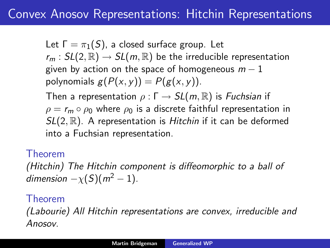Let  $\Gamma = \pi_1(S)$ , a closed surface group. Let  $r_m : SL(2,\mathbb{R}) \rightarrow SL(m,\mathbb{R})$  be the irreducible representation given by action on the space of homogeneous  $m - 1$ polynomials  $g(P(x, y)) = P(g(x, y))$ . Then a representation  $\rho : \Gamma \to SL(m, \mathbb{R})$  is *Fuchsian* if  $\rho = r_m \circ \rho_0$  where  $\rho_0$  is a discrete faithful representation in

 $SL(2, \mathbb{R})$ . A representation is Hitchin if it can be deformed into a Fuchsian representation.

Theorem

(Hitchin) The Hitchin component is diffeomorphic to a ball of dimension  $-\chi(S)(m^2-1)$ .

### Theorem

(Labourie) All Hitchin representations are convex, irreducible and Anosov.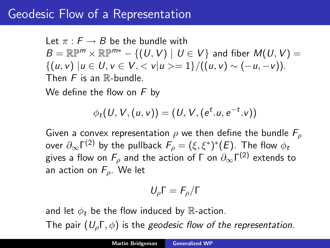## Geodesic Flow of a Representation

Let  $\pi : F \to B$  be the bundle with  $B = \mathbb{R} \mathbb{P}^m \times \mathbb{R} \mathbb{P}^{m*} - \{ (U, V) \mid U \in V \}$  and fiber  $M(U, V) =$  $\{(u, v) | u \in U, v \in V, \langle v | u \rangle = 1\}/((u, v) \sim (-u, -v)).$ Then  $F$  is an  $\mathbb R$ -bundle.

We define the flow on  $F$  by

$$
\phi_t(U, V, (u, v)) = (U, V, (e^t.u, e^{-t}.v))
$$

Given a convex representation  $\rho$  we then define the bundle  $F_{\rho}$ over  $\partial_\infty \mathsf{\Gamma}^{(2)}$  by the pullback  $\mathsf{F}_\rho = (\xi, \xi^*)^*(E).$  The flow  $\phi_t$ gives a flow on  $F_\rho$  and the action of  $\Gamma$  on  $\partial_\infty \mathsf{\Gamma}^{(2)}$  extends to an action on  $F_{\rho}$ . We let

$$
U_\rho\Gamma=F_\rho/\Gamma
$$

and let  $\phi_t$  be the flow induced by R-action. The pair  $(U<sub>o</sub> \Gamma, \phi)$  is the geodesic flow of the representation.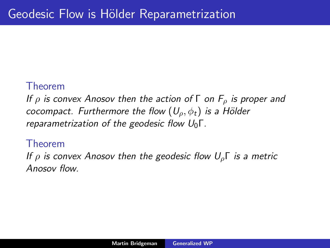#### Theorem

If  $\rho$  is convex Anosov then the action of  $\Gamma$  on  $F_{\rho}$  is proper and cocompact. Furthermore the flow  $(U_o, \phi_t)$  is a Hölder reparametrization of the geodesic flow  $U_0\Gamma$ .

#### Theorem

If  $\rho$  is convex Anosov then the geodesic flow  $U_{\rho}$  is a metric Anosov flow.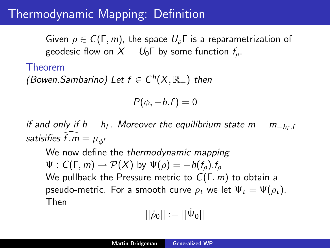# Thermodynamic Mapping: Definition

Given  $\rho \in C(\Gamma, m)$ , the space  $U_{\rho}$  is a reparametrization of geodesic flow on  $X = U_0 \Gamma$  by some function  $f_0$ .

#### Theorem

(Bowen, Sambarino) Let  $f \in C^h(X,\mathbb{R}_+)$  then

$$
P(\phi,-h.f)=0
$$

if and only if  $h = h_f$ . Moreover the equilibrium state  $m = m_{-h_f, f}$ satisifies f.m =  $\mu_{\phi}$ f

We now define the thermodynamic mapping  $\Psi : C(\Gamma, m) \to P(X)$  by  $\Psi(\rho) = -h(f_0) \cdot f_0$ We pullback the Pressure metric to  $C(\Gamma, m)$  to obtain a pseudo-metric. For a smooth curve  $\rho_t$  we let  $\Psi_t = \Psi(\rho_t)$ . Then

$$
||\dot{\rho}_0||:=||\dot{\Psi}_0||
$$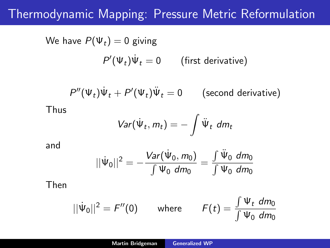# Thermodynamic Mapping: Pressure Metric Reformulation

We have 
$$
P(\Psi_t) = 0
$$
 giving  
\n
$$
P'(\Psi_t)\dot{\Psi}_t = 0 \qquad \text{(first derivative)}
$$
\n
$$
P''(\Psi_t)\dot{\Psi}_t + P'(\Psi_t)\ddot{\Psi}_t = 0 \qquad \text{(second derivative)}
$$
\nThus  
\n
$$
Var(\dot{\Psi}_t, m_t) = -\int \ddot{\Psi}_t \ dm_t
$$

and

$$
||\dot{\Psi}_0||^2 = -\frac{Var(\dot{\Psi}_0, m_0)}{\int \Psi_0 \ dm_0} = \frac{\int \ddot{\Psi}_0 \ dm_0}{\int \Psi_0 \ dm_0}
$$

Then

$$
||\dot{\Psi}_0||^2 = F''(0) \qquad \text{where} \qquad F(t) = \frac{\int \Psi_t \ dm_0}{\int \Psi_0 \ dm_0}
$$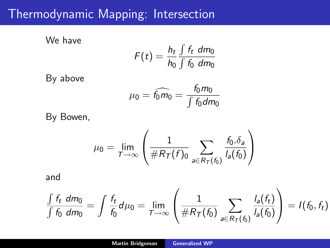# Thermodynamic Mapping: Intersection

We have

$$
F(t) = \frac{h_t}{h_0} \frac{\int f_t \ dm_0}{\int f_0 \ dm_0}
$$

By above

$$
\mu_0 = \widehat{f_0 m_0} = \frac{f_0 m_0}{\int f_0 dm_0}
$$

By Bowen,

$$
\mu_0 = \lim_{T \to \infty} \left( \frac{1}{\#R_T(f)_0} \sum_{a \in R_T(f_0)} \frac{f_0.\delta_a}{I_a(f_0)} \right)
$$

and

$$
\frac{\int f_t \, dm_0}{\int f_0 \, dm_0} = \int \frac{f_t}{f_0} d\mu_0 = \lim_{T \to \infty} \left( \frac{1}{\#R_T(f_0)} \sum_{a \in R_T(f_0)} \frac{l_a(f_t)}{l_a(f_0)} \right) = l(f_0, f_t)
$$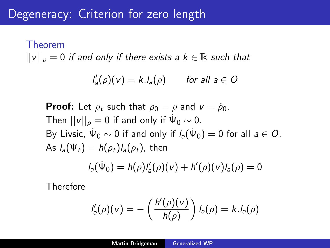## Degeneracy: Criterion for zero length

# Theorem  $||v||_{\rho} = 0$  if and only if there exists a  $k \in \mathbb{R}$  such that

$$
I'_a(\rho)(v) = k.I_a(\rho) \quad \text{for all } a \in O
$$

**Proof:** Let  $\rho_t$  such that  $\rho_0 = \rho$  and  $v = \rho_0$ . Then  $||v||_\rho = 0$  if and only if  $\dot{\Psi}_0 \sim 0$ . By Livsic,  $\dot{\Psi}_0 \sim 0$  if and only if  $l_a(\dot{\Psi}_0) = 0$  for all  $a \in O$ . As  $l_a(\Psi_t) = h(\rho_t)l_a(\rho_t)$ , then

$$
I_a(\dot{\Psi}_0) = h(\rho)I'_a(\rho)(v) + h'(\rho)(v)I_a(\rho) = 0
$$

Therefore

$$
I'_a(\rho)(v) = -\left(\frac{h'(\rho)(v)}{h(\rho)}\right)I_a(\rho) = k.I_a(\rho)
$$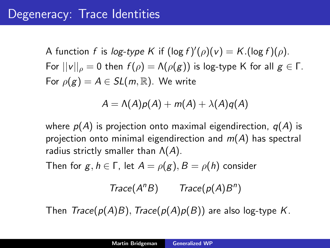A function f is log-type K if  $(\log f)'(\rho)(v) = K.(\log f)(\rho)$ . For  $||v||_{\rho} = 0$  then  $f(\rho) = \Lambda(\rho(g))$  is log-type K for all  $g \in \Gamma$ . For  $\rho(g) = A \in SL(m, \mathbb{R})$ . We write

$$
A = \Lambda(A)p(A) + m(A) + \lambda(A)q(A)
$$

where  $p(A)$  is projection onto maximal eigendirection,  $q(A)$  is projection onto minimal eigendirection and  $m(A)$  has spectral radius strictly smaller than  $\Lambda(A)$ .

Then for  $g, h \in \Gamma$ , let  $A = \rho(g), B = \rho(h)$  consider

$$
Trace(A^n B) \qquad Trace(p(A)B^n)
$$

Then  $Trace(p(A)B)$ ,  $Trace(p(A)p(B))$  are also log-type K.